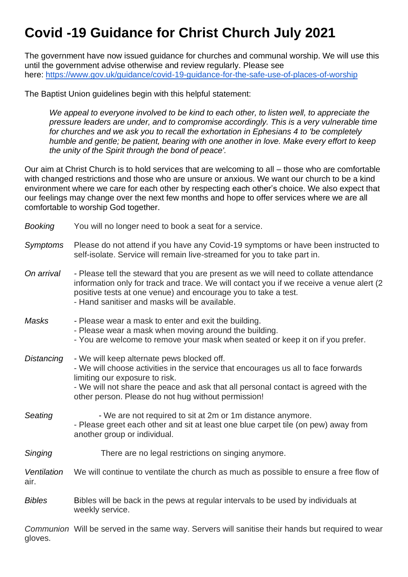## **Covid -19 Guidance for Christ Church July 2021**

The government have now issued guidance for churches and communal worship. We will use this until the government advise otherwise and review regularly. Please see here: <https://www.gov.uk/guidance/covid-19-guidance-for-the-safe-use-of-places-of-worship>

The Baptist Union guidelines begin with this helpful statement:

*We appeal to everyone involved to be kind to each other, to listen well, to appreciate the pressure leaders are under, and to compromise accordingly. This is a very vulnerable time for churches and we ask you to recall the exhortation in Ephesians 4 to 'be completely humble and gentle; be patient, bearing with one another in love. Make every effort to keep the unity of the Spirit through the bond of peace'.*

Our aim at Christ Church is to hold services that are welcoming to all – those who are comfortable with changed restrictions and those who are unsure or anxious. We want our church to be a kind environment where we care for each other by respecting each other's choice. We also expect that our feelings may change over the next few months and hope to offer services where we are all comfortable to worship God together.

| <b>Booking</b>      | You will no longer need to book a seat for a service.                                                                                                                                                                                                                                                           |
|---------------------|-----------------------------------------------------------------------------------------------------------------------------------------------------------------------------------------------------------------------------------------------------------------------------------------------------------------|
| Symptoms            | Please do not attend if you have any Covid-19 symptoms or have been instructed to<br>self-isolate. Service will remain live-streamed for you to take part in.                                                                                                                                                   |
| On arrival          | - Please tell the steward that you are present as we will need to collate attendance<br>information only for track and trace. We will contact you if we receive a venue alert (2)<br>positive tests at one venue) and encourage you to take a test.<br>- Hand sanitiser and masks will be available.            |
| Masks               | - Please wear a mask to enter and exit the building.<br>- Please wear a mask when moving around the building.<br>- You are welcome to remove your mask when seated or keep it on if you prefer.                                                                                                                 |
| Distancing          | - We will keep alternate pews blocked off.<br>- We will choose activities in the service that encourages us all to face forwards<br>limiting our exposure to risk.<br>- We will not share the peace and ask that all personal contact is agreed with the<br>other person. Please do not hug without permission! |
| Seating             | - We are not required to sit at 2m or 1m distance anymore.<br>- Please greet each other and sit at least one blue carpet tile (on pew) away from<br>another group or individual.                                                                                                                                |
| Singing             | There are no legal restrictions on singing anymore.                                                                                                                                                                                                                                                             |
| Ventilation<br>air. | We will continue to ventilate the church as much as possible to ensure a free flow of                                                                                                                                                                                                                           |
| <b>Bibles</b>       | Bibles will be back in the pews at regular intervals to be used by individuals at<br>weekly service.                                                                                                                                                                                                            |

*Communion* Will be served in the same way. Servers will sanitise their hands but required to wear gloves.